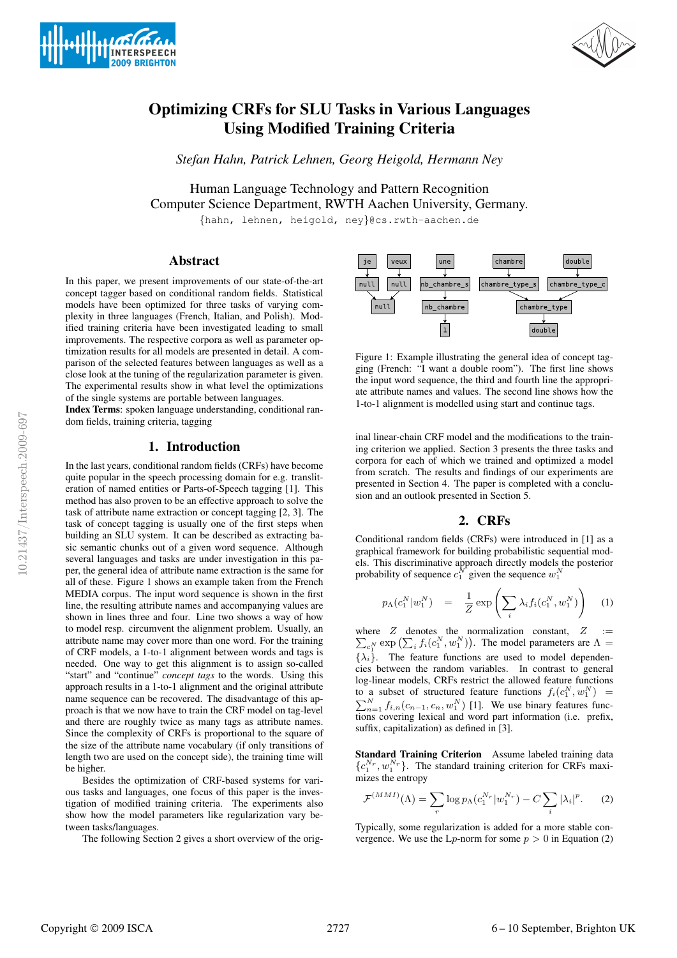



# Optimizing CRFs for SLU Tasks in Various Languages Using Modified Training Criteria

*Stefan Hahn, Patrick Lehnen, Georg Heigold, Hermann Ney*

Human Language Technology and Pattern Recognition Computer Science Department, RWTH Aachen University, Germany.

{hahn, lehnen, heigold, ney}@cs.rwth-aachen.de

## Abstract

In this paper, we present improvements of our state-of-the-art concept tagger based on conditional random fields. Statistical models have been optimized for three tasks of varying complexity in three languages (French, Italian, and Polish). Modified training criteria have been investigated leading to small improvements. The respective corpora as well as parameter optimization results for all models are presented in detail. A comparison of the selected features between languages as well as a close look at the tuning of the regularization parameter is given. The experimental results show in what level the optimizations of the single systems are portable between languages.

Index Terms: spoken language understanding, conditional random fields, training criteria, tagging

## 1. Introduction

In the last years, conditional random fields (CRFs) have become quite popular in the speech processing domain for e.g. transliteration of named entities or Parts-of-Speech tagging [1]. This method has also proven to be an effective approach to solve the task of attribute name extraction or concept tagging [2, 3]. The task of concept tagging is usually one of the first steps when building an SLU system. It can be described as extracting basic semantic chunks out of a given word sequence. Although several languages and tasks are under investigation in this paper, the general idea of attribute name extraction is the same for all of these. Figure 1 shows an example taken from the French MEDIA corpus. The input word sequence is shown in the first line, the resulting attribute names and accompanying values are shown in lines three and four. Line two shows a way of how to model resp. circumvent the alignment problem. Usually, an attribute name may cover more than one word. For the training of CRF models, a 1-to-1 alignment between words and tags is needed. One way to get this alignment is to assign so-called "start" and "continue" *concept tags* to the words. Using this approach results in a 1-to-1 alignment and the original attribute name sequence can be recovered. The disadvantage of this approach is that we now have to train the CRF model on tag-level and there are roughly twice as many tags as attribute names. Since the complexity of CRFs is proportional to the square of the size of the attribute name vocabulary (if only transitions of length two are used on the concept side), the training time will be higher.

Besides the optimization of CRF-based systems for various tasks and languages, one focus of this paper is the investigation of modified training criteria. The experiments also show how the model parameters like regularization vary between tasks/languages.

The following Section 2 gives a short overview of the orig-



Figure 1: Example illustrating the general idea of concept tagging (French: "I want a double room"). The first line shows the input word sequence, the third and fourth line the appropriate attribute names and values. The second line shows how the 1-to-1 alignment is modelled using start and continue tags.

inal linear-chain CRF model and the modifications to the training criterion we applied. Section 3 presents the three tasks and corpora for each of which we trained and optimized a model from scratch. The results and findings of our experiments are presented in Section 4. The paper is completed with a conclusion and an outlook presented in Section 5.

## 2. CRFs

Conditional random fields (CRFs) were introduced in [1] as a graphical framework for building probabilistic sequential models. This discriminative approach directly models the posterior probability of sequence  $c_1^N$  given the sequence  $w_1^N$ 

$$
p_{\Lambda}(c_1^N|w_1^N) = \frac{1}{Z} \exp\left(\sum_i \lambda_i f_i(c_1^N, w_1^N)\right) \quad (1)
$$

where P  $Z$  denotes the normalization constant,  $Z :=$  $\sum_{i=1}^N \exp\left(\sum_i f_i(c_1^N, w_1^N)\right)$ . The model parameters are  $\Lambda =$  ${\lambda_i}$ . The feature functions are used to model dependencies between the random variables. In contrast to general log-linear models, CRFs restrict the allowed feature functions to a subset of structured feature functions  $f_i(c_1^N, w_1^N)$ to a subset of structured feature functions  $f_i(c_1^N, w_1^N) = \sum_{n=1}^N f_{i,n}(c_{n-1}, c_n, w_1^N)$  [1]. We use binary features functions covering lexical and word part information (i.e. prefix, suffix, capitalization) as defined in [3].

Standard Training Criterion Assume labeled training data  $\{c_1^{N_r}, w_1^{N_r}\}$ . The standard training criterion for CRFs maximizes the entropy

$$
\mathcal{F}^{(MMI)}(\Lambda) = \sum_{r} \log p_{\Lambda}(c_1^{N_r} | w_1^{N_r}) - C \sum_{i} |\lambda_i|^p. \tag{2}
$$

Typically, some regularization is added for a more stable convergence. We use the  $L_p$ -norm for some  $p > 0$  in Equation (2)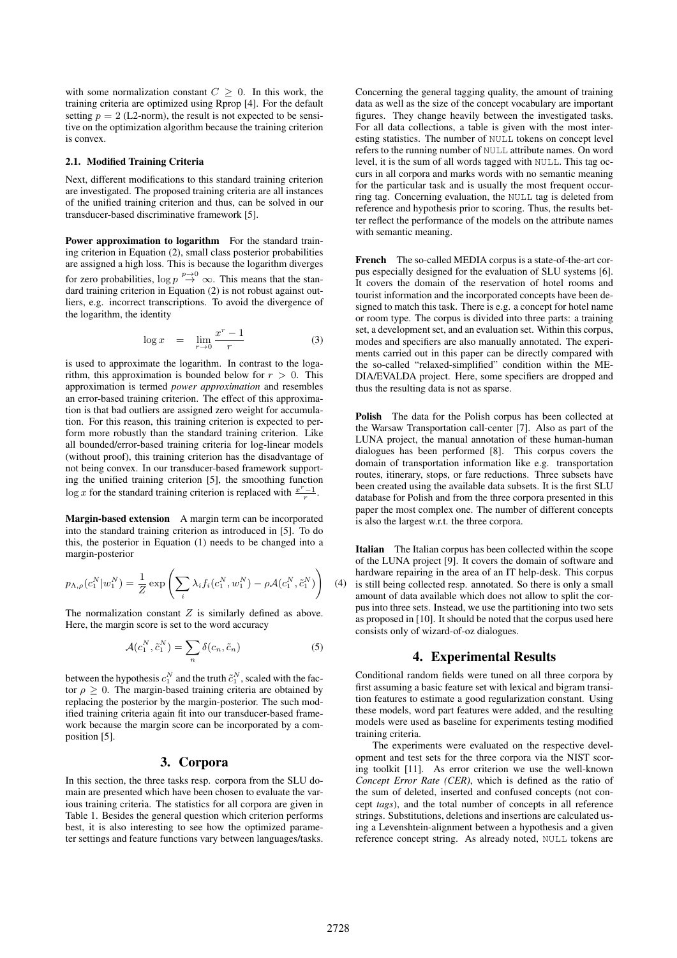with some normalization constant  $C \geq 0$ . In this work, the training criteria are optimized using Rprop [4]. For the default setting  $p = 2$  (L2-norm), the result is not expected to be sensitive on the optimization algorithm because the training criterion is convex.

#### 2.1. Modified Training Criteria

Next, different modifications to this standard training criterion are investigated. The proposed training criteria are all instances of the unified training criterion and thus, can be solved in our transducer-based discriminative framework [5].

Power approximation to logarithm For the standard training criterion in Equation (2), small class posterior probabilities are assigned a high loss. This is because the logarithm diverges for zero probabilities,  $\log p \stackrel{p \to 0}{\rightarrow} \infty$ . This means that the standard training criterion in Equation (2) is not robust against outliers, e.g. incorrect transcriptions. To avoid the divergence of the logarithm, the identity

$$
\log x = \lim_{r \to 0} \frac{x^r - 1}{r} \tag{3}
$$

is used to approximate the logarithm. In contrast to the logarithm, this approximation is bounded below for  $r > 0$ . This approximation is termed *power approximation* and resembles an error-based training criterion. The effect of this approximation is that bad outliers are assigned zero weight for accumulation. For this reason, this training criterion is expected to perform more robustly than the standard training criterion. Like all bounded/error-based training criteria for log-linear models (without proof), this training criterion has the disadvantage of not being convex. In our transducer-based framework supporting the unified training criterion [5], the smoothing function log x for the standard training criterion is replaced with  $\frac{x^r-1}{r}$ .

Margin-based extension A margin term can be incorporated into the standard training criterion as introduced in [5]. To do this, the posterior in Equation (1) needs to be changed into a margin-posterior

$$
p_{\Lambda,\rho}(c_1^N|w_1^N) = \frac{1}{Z} \exp\left(\sum_i \lambda_i f_i(c_1^N, w_1^N) - \rho \mathcal{A}(c_1^N, \tilde{c}_1^N)\right)
$$

The normalization constant  $Z$  is similarly defined as above. Here, the margin score is set to the word accuracy

$$
\mathcal{A}(c_1^N, \tilde{c}_1^N) = \sum_n \delta(c_n, \tilde{c}_n)
$$
\n(5)

between the hypothesis  $c_1^N$  and the truth  $\tilde{c}_1^N$ , scaled with the factor  $\rho \geq 0$ . The margin-based training criteria are obtained by replacing the posterior by the margin-posterior. The such modified training criteria again fit into our transducer-based framework because the margin score can be incorporated by a composition [5].

### 3. Corpora

In this section, the three tasks resp. corpora from the SLU domain are presented which have been chosen to evaluate the various training criteria. The statistics for all corpora are given in Table 1. Besides the general question which criterion performs best, it is also interesting to see how the optimized parameter settings and feature functions vary between languages/tasks.

Concerning the general tagging quality, the amount of training data as well as the size of the concept vocabulary are important figures. They change heavily between the investigated tasks. For all data collections, a table is given with the most interesting statistics. The number of NULL tokens on concept level refers to the running number of NULL attribute names. On word level, it is the sum of all words tagged with NULL. This tag occurs in all corpora and marks words with no semantic meaning for the particular task and is usually the most frequent occurring tag. Concerning evaluation, the NULL tag is deleted from reference and hypothesis prior to scoring. Thus, the results better reflect the performance of the models on the attribute names with semantic meaning.

French The so-called MEDIA corpus is a state-of-the-art corpus especially designed for the evaluation of SLU systems [6]. It covers the domain of the reservation of hotel rooms and tourist information and the incorporated concepts have been designed to match this task. There is e.g. a concept for hotel name or room type. The corpus is divided into three parts: a training set, a development set, and an evaluation set. Within this corpus, modes and specifiers are also manually annotated. The experiments carried out in this paper can be directly compared with the so-called "relaxed-simplified" condition within the ME-DIA/EVALDA project. Here, some specifiers are dropped and thus the resulting data is not as sparse.

Polish The data for the Polish corpus has been collected at the Warsaw Transportation call-center [7]. Also as part of the LUNA project, the manual annotation of these human-human dialogues has been performed [8]. This corpus covers the domain of transportation information like e.g. transportation routes, itinerary, stops, or fare reductions. Three subsets have been created using the available data subsets. It is the first SLU database for Polish and from the three corpora presented in this paper the most complex one. The number of different concepts is also the largest w.r.t. the three corpora.

(4) is still being collected resp. annotated. So there is only a small Italian The Italian corpus has been collected within the scope of the LUNA project [9]. It covers the domain of software and hardware repairing in the area of an IT help-desk. This corpus amount of data available which does not allow to split the corpus into three sets. Instead, we use the partitioning into two sets as proposed in [10]. It should be noted that the corpus used here consists only of wizard-of-oz dialogues.

#### 4. Experimental Results

Conditional random fields were tuned on all three corpora by first assuming a basic feature set with lexical and bigram transition features to estimate a good regularization constant. Using these models, word part features were added, and the resulting models were used as baseline for experiments testing modified training criteria.

The experiments were evaluated on the respective development and test sets for the three corpora via the NIST scoring toolkit [11]. As error criterion we use the well-known *Concept Error Rate (CER)*, which is defined as the ratio of the sum of deleted, inserted and confused concepts (not concept *tags*), and the total number of concepts in all reference strings. Substitutions, deletions and insertions are calculated using a Levenshtein-alignment between a hypothesis and a given reference concept string. As already noted, NULL tokens are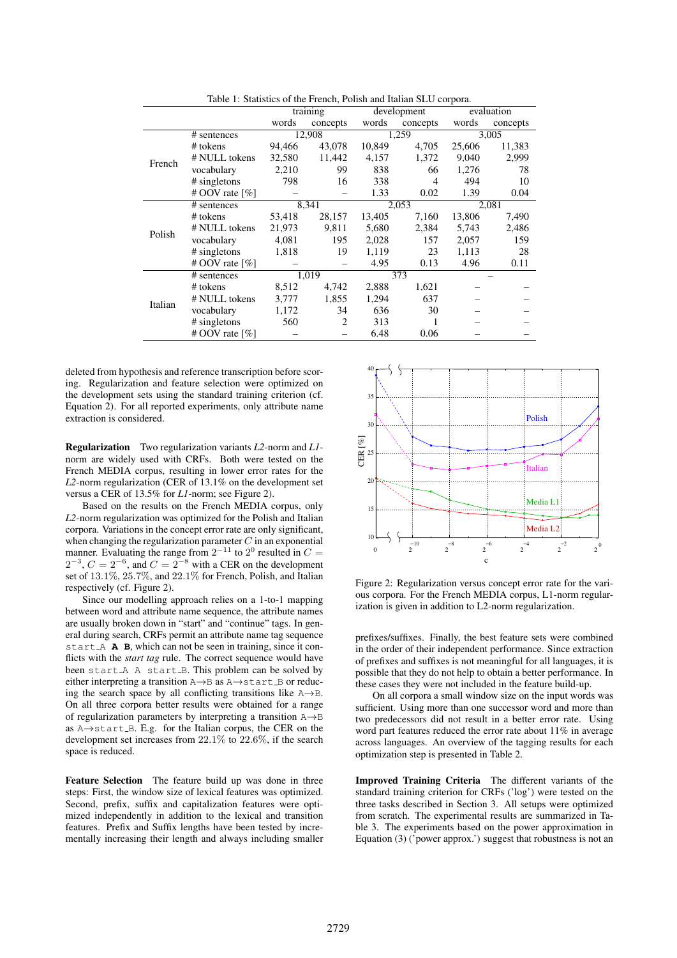|         |                   | training |                | development |                | evaluation |          |
|---------|-------------------|----------|----------------|-------------|----------------|------------|----------|
|         |                   | words    | concepts       | words       | concepts       | words      | concepts |
|         | # sentences       | 12,908   |                | 1,259       |                | 3,005      |          |
| French  | # tokens          | 94,466   | 43,078         | 10,849      | 4,705          | 25,606     | 11,383   |
|         | # NULL tokens     | 32,580   | 11,442         | 4,157       | 1,372          | 9,040      | 2,999    |
|         | vocabulary        | 2,210    | 99             | 838         | 66             | 1,276      | 78       |
|         | # singletons      | 798      | 16             | 338         | $\overline{4}$ | 494        | 10       |
|         | # OOV rate $[\%]$ |          |                | 1.33        | 0.02           | 1.39       | 0.04     |
| Polish  | # sentences       | 8,341    |                | 2,053       |                | 2,081      |          |
|         | # tokens          | 53,418   | 28,157         | 13,405      | 7,160          | 13,806     | 7,490    |
|         | # NULL tokens     | 21,973   | 9,811          | 5,680       | 2,384          | 5,743      | 2,486    |
|         | vocabulary        | 4,081    | 195            | 2,028       | 157            | 2,057      | 159      |
|         | # singletons      | 1,818    | 19             | 1,119       | 23             | 1,113      | 28       |
|         | # OOV rate $[\%]$ |          |                | 4.95        | 0.13           | 4.96       | 0.11     |
| Italian | # sentences       | 1,019    |                | 373         |                |            |          |
|         | # tokens          | 8,512    | 4,742          | 2,888       | 1,621          |            |          |
|         | # NULL tokens     | 3,777    | 1,855          | 1,294       | 637            |            |          |
|         | vocabulary        | 1,172    | 34             | 636         | 30             |            |          |
|         | # singletons      | 560      | $\overline{2}$ | 313         |                |            |          |
|         | # OOV rate $[\%]$ |          |                | 6.48        | 0.06           |            |          |

Table 1: Statistics of the French, Polish and Italian SLU corpora.

deleted from hypothesis and reference transcription before scoring. Regularization and feature selection were optimized on the development sets using the standard training criterion (cf. Equation 2). For all reported experiments, only attribute name extraction is considered.

Regularization Two regularization variants *L2*-norm and *L1* norm are widely used with CRFs. Both were tested on the French MEDIA corpus, resulting in lower error rates for the *L2*-norm regularization (CER of 13.1% on the development set versus a CER of 13.5% for *L1*-norm; see Figure 2).

Based on the results on the French MEDIA corpus, only *L2*-norm regularization was optimized for the Polish and Italian corpora. Variations in the concept error rate are only significant, when changing the regularization parameter  $C$  in an exponential manner. Evaluating the range from  $2^{-11}$  to  $2^0$  resulted in  $C =$  $2^{-3}$ ,  $C = 2^{-6}$ , and  $C = 2^{-8}$  with a CER on the development set of 13.1%, 25.7%, and 22.1% for French, Polish, and Italian respectively (cf. Figure 2).

Since our modelling approach relies on a 1-to-1 mapping between word and attribute name sequence, the attribute names are usually broken down in "start" and "continue" tags. In general during search, CRFs permit an attribute name tag sequence start A **A B**, which can not be seen in training, since it conflicts with the *start tag* rule. The correct sequence would have been start\_A A start\_B. This problem can be solved by either interpreting a transition A→B as A→start B or reducing the search space by all conflicting transitions like  $A \rightarrow B$ . On all three corpora better results were obtained for a range of regularization parameters by interpreting a transition A→B as A→start B. E.g. for the Italian corpus, the CER on the development set increases from 22.1% to 22.6%, if the search space is reduced.

Feature Selection The feature build up was done in three steps: First, the window size of lexical features was optimized. Second, prefix, suffix and capitalization features were optimized independently in addition to the lexical and transition features. Prefix and Suffix lengths have been tested by incrementally increasing their length and always including smaller



Figure 2: Regularization versus concept error rate for the various corpora. For the French MEDIA corpus, L1-norm regularization is given in addition to L2-norm regularization.

prefixes/suffixes. Finally, the best feature sets were combined in the order of their independent performance. Since extraction of prefixes and suffixes is not meaningful for all languages, it is possible that they do not help to obtain a better performance. In these cases they were not included in the feature build-up.

On all corpora a small window size on the input words was sufficient. Using more than one successor word and more than two predecessors did not result in a better error rate. Using word part features reduced the error rate about 11% in average across languages. An overview of the tagging results for each optimization step is presented in Table 2.

Improved Training Criteria The different variants of the standard training criterion for CRFs ('log') were tested on the three tasks described in Section 3. All setups were optimized from scratch. The experimental results are summarized in Table 3. The experiments based on the power approximation in Equation (3) ('power approx.') suggest that robustness is not an